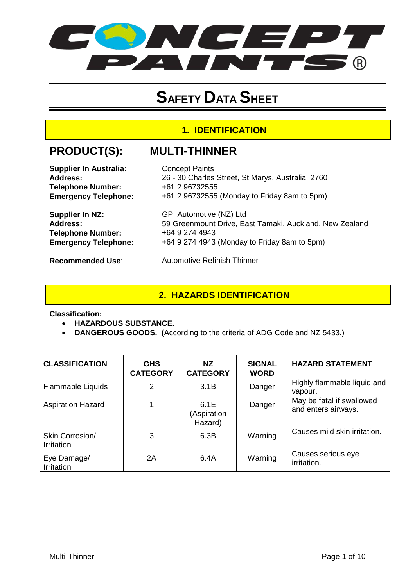

# **SAFETY DATA SHEET**

#### **1. IDENTIFICATION**

## **PRODUCT(S): MULTI-THINNER**

| <b>Supplier In Australia:</b> | <b>Concept Paints</b>                                   |
|-------------------------------|---------------------------------------------------------|
| Address:                      | 26 - 30 Charles Street, St Marys, Australia. 2760       |
| <b>Telephone Number:</b>      | +61 2 96732555                                          |
| <b>Emergency Telephone:</b>   | +61 2 96732555 (Monday to Friday 8am to 5pm)            |
| Supplier In NZ:               | GPI Automotive (NZ) Ltd                                 |
| <b>Address:</b>               | 59 Greenmount Drive, East Tamaki, Auckland, New Zealand |
| <b>Telephone Number:</b>      | +64 9 274 4943                                          |
| <b>Emergency Telephone:</b>   | +64 9 274 4943 (Monday to Friday 8am to 5pm)            |
| <b>Recommended Use:</b>       | <b>Automotive Refinish Thinner</b>                      |

#### **2. HAZARDS IDENTIFICATION**

**Classification:** 

- **HAZARDOUS SUBSTANCE.**
- **DANGEROUS GOODS. (**According to the criteria of ADG Code and NZ 5433.)

| <b>CLASSIFICATION</b>         | <b>GHS</b><br><b>CATEGORY</b> | NZ.<br><b>CATEGORY</b>         | <b>SIGNAL</b><br><b>WORD</b> | <b>HAZARD STATEMENT</b>                          |
|-------------------------------|-------------------------------|--------------------------------|------------------------------|--------------------------------------------------|
| Flammable Liquids             | 2                             | 3.1B                           | Danger                       | Highly flammable liquid and<br>vapour.           |
| <b>Aspiration Hazard</b>      |                               | 6.1E<br>(Aspiration<br>Hazard) | Danger                       | May be fatal if swallowed<br>and enters airways. |
| Skin Corrosion/<br>Irritation | 3                             | 6.3B                           | Warning                      | Causes mild skin irritation.                     |
| Eye Damage/<br>Irritation     | 2Α                            | 6.4A                           | Warning                      | Causes serious eye<br>irritation.                |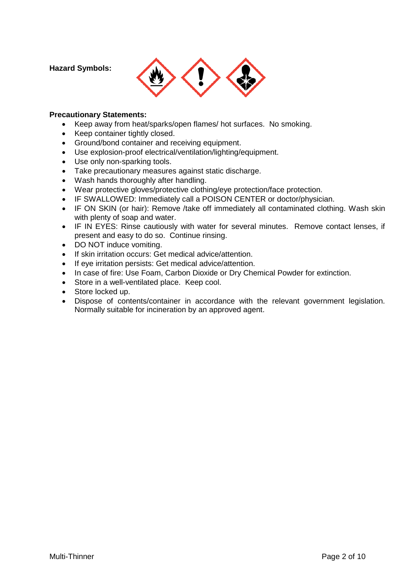**Hazard Symbols:** 



#### **Precautionary Statements:**

- Keep away from heat/sparks/open flames/ hot surfaces. No smoking.
- Keep container tightly closed.
- Ground/bond container and receiving equipment.
- Use explosion-proof electrical/ventilation/lighting/equipment.
- Use only non-sparking tools.
- Take precautionary measures against static discharge.
- Wash hands thoroughly after handling.
- Wear protective gloves/protective clothing/eye protection/face protection.
- IF SWALLOWED: Immediately call a POISON CENTER or doctor/physician.
- IF ON SKIN (or hair): Remove /take off immediately all contaminated clothing. Wash skin with plenty of soap and water.
- IF IN EYES: Rinse cautiously with water for several minutes. Remove contact lenses, if present and easy to do so. Continue rinsing.
- DO NOT induce vomiting.
- If skin irritation occurs: Get medical advice/attention.
- If eye irritation persists: Get medical advice/attention.
- In case of fire: Use Foam, Carbon Dioxide or Dry Chemical Powder for extinction.
- Store in a well-ventilated place. Keep cool.
- Store locked up.
- Dispose of contents/container in accordance with the relevant government legislation. Normally suitable for incineration by an approved agent.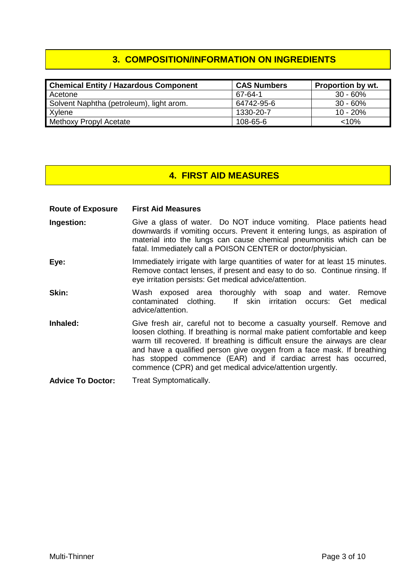### **3. COMPOSITION/INFORMATION ON INGREDIENTS**

| <b>Chemical Entity / Hazardous Component</b> | <b>CAS Numbers</b> | <b>Proportion by wt.</b> |
|----------------------------------------------|--------------------|--------------------------|
| Acetone                                      | 67-64-1            | $30 - 60\%$              |
| Solvent Naphtha (petroleum), light arom.     | 64742-95-6         | 30 - 60%                 |
| Xylene                                       | 1330-20-7          | $10 - 20%$               |
| Methoxy Propyl Acetate                       | 108-65-6           | < 10%                    |

#### **4. FIRST AID MEASURES**

**Route of Exposure First Aid Measures**

- **Ingestion:** Give a glass of water. Do NOT induce vomiting. Place patients head downwards if vomiting occurs. Prevent it entering lungs, as aspiration of material into the lungs can cause chemical pneumonitis which can be fatal. Immediately call a POISON CENTER or doctor/physician.
- **Eye:** Immediately irrigate with large quantities of water for at least 15 minutes. Remove contact lenses, if present and easy to do so. Continue rinsing. If eye irritation persists: Get medical advice/attention.
- **Skin:** Wash exposed area thoroughly with soap and water. Remove variable water was contaminated clothing. If skin irritation occurs: Get medical If skin irritation occurs: Get medical advice/attention.
- **Inhaled:** Give fresh air, careful not to become a casualty yourself. Remove and loosen clothing. If breathing is normal make patient comfortable and keep warm till recovered. If breathing is difficult ensure the airways are clear and have a qualified person give oxygen from a face mask. If breathing has stopped commence (EAR) and if cardiac arrest has occurred, commence (CPR) and get medical advice/attention urgently.
- **Advice To Doctor:** Treat Symptomatically.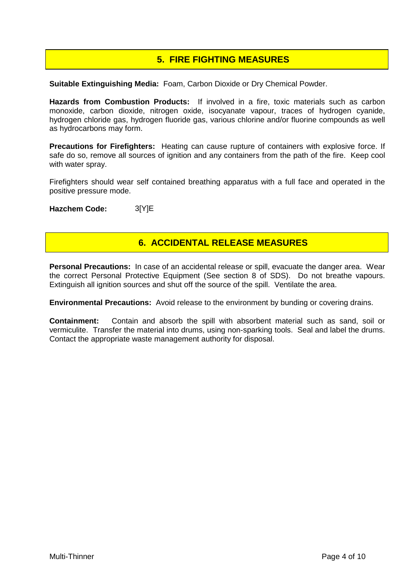## **5. FIRE FIGHTING MEASURES**

**Suitable Extinguishing Media:** Foam, Carbon Dioxide or Dry Chemical Powder.

**Hazards from Combustion Products:** If involved in a fire, toxic materials such as carbon monoxide, carbon dioxide, nitrogen oxide, isocyanate vapour, traces of hydrogen cyanide, hydrogen chloride gas, hydrogen fluoride gas, various chlorine and/or fluorine compounds as well as hydrocarbons may form.

**Precautions for Firefighters:** Heating can cause rupture of containers with explosive force. If safe do so, remove all sources of ignition and any containers from the path of the fire. Keep cool with water spray.

Firefighters should wear self contained breathing apparatus with a full face and operated in the positive pressure mode.

**Hazchem Code:** 3[Y]E

#### **6. ACCIDENTAL RELEASE MEASURES**

**Personal Precautions:** In case of an accidental release or spill, evacuate the danger area. Wear the correct Personal Protective Equipment (See section 8 of SDS). Do not breathe vapours. Extinguish all ignition sources and shut off the source of the spill. Ventilate the area.

**Environmental Precautions:** Avoid release to the environment by bunding or covering drains.

**Containment:** Contain and absorb the spill with absorbent material such as sand, soil or vermiculite. Transfer the material into drums, using non-sparking tools. Seal and label the drums. Contact the appropriate waste management authority for disposal.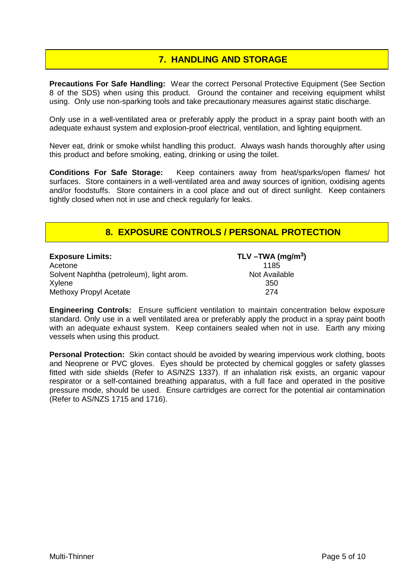#### **7. HANDLING AND STORAGE**

**Precautions For Safe Handling:** Wear the correct Personal Protective Equipment (See Section 8 of the SDS) when using this product. Ground the container and receiving equipment whilst using. Only use non-sparking tools and take precautionary measures against static discharge.

Only use in a well-ventilated area or preferably apply the product in a spray paint booth with an adequate exhaust system and explosion-proof electrical, ventilation, and lighting equipment.

Never eat, drink or smoke whilst handling this product. Always wash hands thoroughly after using this product and before smoking, eating, drinking or using the toilet.

**Conditions For Safe Storage:** Keep containers away from heat/sparks/open flames/ hot surfaces. Store containers in a well-ventilated area and away sources of ignition, oxidising agents and/or foodstuffs. Store containers in a cool place and out of direct sunlight. Keep containers tightly closed when not in use and check regularly for leaks.

#### **8. EXPOSURE CONTROLS / PERSONAL PROTECTION**

| <b>Exposure Limits:</b>                  | TLV-TWA (mg/m <sup>3</sup> ) |
|------------------------------------------|------------------------------|
| Acetone                                  | 1185                         |
| Solvent Naphtha (petroleum), light arom. | Not Available                |
| Xylene                                   | 350                          |
| Methoxy Propyl Acetate                   | 274                          |

**Engineering Controls:** Ensure sufficient ventilation to maintain concentration below exposure standard. Only use in a well ventilated area or preferably apply the product in a spray paint booth with an adequate exhaust system. Keep containers sealed when not in use. Earth any mixing vessels when using this product.

**Personal Protection:** Skin contact should be avoided by wearing impervious work clothing, boots and Neoprene or PVC gloves. Eyes should be protected by chemical goggles or safety glasses fitted with side shields (Refer to AS/NZS 1337). If an inhalation risk exists, an organic vapour respirator or a self-contained breathing apparatus, with a full face and operated in the positive pressure mode, should be used. Ensure cartridges are correct for the potential air contamination (Refer to AS/NZS 1715 and 1716).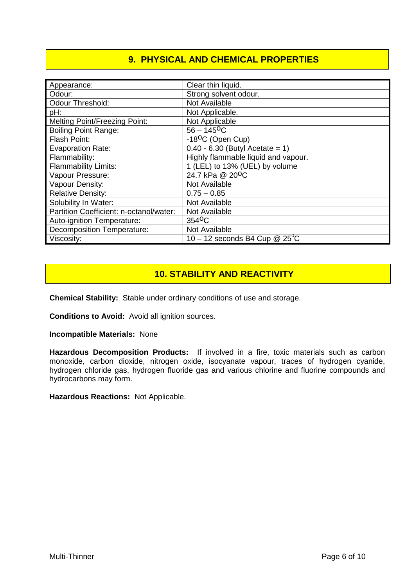## **9. PHYSICAL AND CHEMICAL PROPERTIES**

| Appearance:                             | Clear thin liquid.                     |
|-----------------------------------------|----------------------------------------|
| Odour:                                  | Strong solvent odour.                  |
| <b>Odour Threshold:</b>                 | Not Available                          |
| pH:                                     | Not Applicable.                        |
| <b>Melting Point/Freezing Point:</b>    | Not Applicable                         |
| <b>Boiling Point Range:</b>             | $56 - 145$ <sup>O</sup> C              |
| Flash Point:                            | -18 <sup>o</sup> C (Open Cup)          |
| <b>Evaporation Rate:</b>                | $0.40 - 6.30$ (Butyl Acetate = 1)      |
| Flammability:                           | Highly flammable liquid and vapour.    |
| <b>Flammability Limits:</b>             | 1 (LEL) to 13% (UEL) by volume         |
| Vapour Pressure:                        | 24.7 kPa @ 20 <sup>o</sup> C           |
| Vapour Density:                         | Not Available                          |
| <b>Relative Density:</b>                | $0.75 - 0.85$                          |
| Solubility In Water:                    | Not Available                          |
| Partition Coefficient: n-octanol/water: | Not Available                          |
| Auto-ignition Temperature:              | 354 <sup>o</sup> C                     |
| <b>Decomposition Temperature:</b>       | Not Available                          |
| Viscosity:                              | 10 – 12 seconds B4 Cup $@25^{\circ}$ C |

#### **10. STABILITY AND REACTIVITY**

**Chemical Stability:** Stable under ordinary conditions of use and storage.

**Conditions to Avoid:** Avoid all ignition sources.

**Incompatible Materials:** None

**Hazardous Decomposition Products:** If involved in a fire, toxic materials such as carbon monoxide, carbon dioxide, nitrogen oxide, isocyanate vapour, traces of hydrogen cyanide, hydrogen chloride gas, hydrogen fluoride gas and various chlorine and fluorine compounds and hydrocarbons may form.

**Hazardous Reactions:** Not Applicable.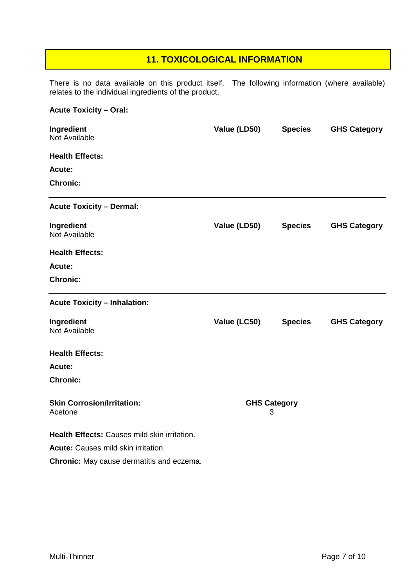#### **11. TOXICOLOGICAL INFORMATION**

There is no data available on this product itself. The following information (where available) relates to the individual ingredients of the product.

# **Acute Toxicity – Oral: Ingredient Value (LD50) Species GHS Category** Not Available **Health Effects: Acute: Chronic: Acute Toxicity – Dermal: Ingredient Value (LD50) Species GHS Category** Not Available **Health Effects: Acute: Chronic: Acute Toxicity – Inhalation: Ingredient Value (LC50) Species GHS Category** Not Available **Health Effects: Acute: Chronic: Skin Corrosion/Irritation: GHS Category** Acetone 3

**Health Effects:** Causes mild skin irritation.

**Acute:** Causes mild skin irritation.

**Chronic:** May cause dermatitis and eczema.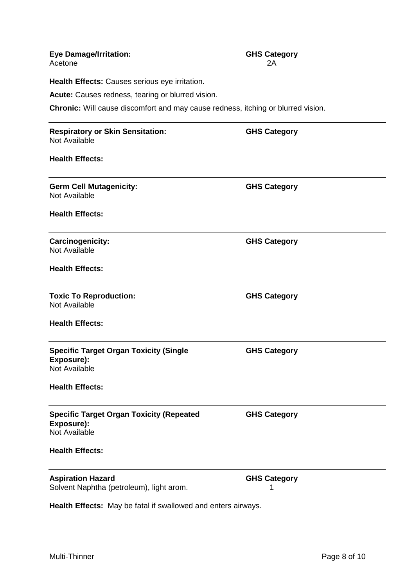| <b>Eye Damage/Irritation:</b><br>Acetone                                                | <b>GHS Category</b><br>2Α |  |  |
|-----------------------------------------------------------------------------------------|---------------------------|--|--|
| Health Effects: Causes serious eye irritation.                                          |                           |  |  |
| Acute: Causes redness, tearing or blurred vision.                                       |                           |  |  |
| <b>Chronic:</b> Will cause discomfort and may cause redness, itching or blurred vision. |                           |  |  |
| <b>Respiratory or Skin Sensitation:</b><br>Not Available                                | <b>GHS Category</b>       |  |  |
| <b>Health Effects:</b>                                                                  |                           |  |  |
| <b>Germ Cell Mutagenicity:</b><br><b>Not Available</b>                                  | <b>GHS Category</b>       |  |  |
| <b>Health Effects:</b>                                                                  |                           |  |  |
| <b>Carcinogenicity:</b><br><b>Not Available</b>                                         | <b>GHS Category</b>       |  |  |
| <b>Health Effects:</b>                                                                  |                           |  |  |
| <b>Toxic To Reproduction:</b><br>Not Available                                          | <b>GHS Category</b>       |  |  |
| <b>Health Effects:</b>                                                                  |                           |  |  |
| <b>Specific Target Organ Toxicity (Single</b><br>Exposure):<br>Not Available            | <b>GHS Category</b>       |  |  |
| <b>Health Effects:</b>                                                                  |                           |  |  |
| <b>Specific Target Organ Toxicity (Repeated</b><br>Exposure):<br>Not Available          | <b>GHS Category</b>       |  |  |
| <b>Health Effects:</b>                                                                  |                           |  |  |
| <b>Aspiration Hazard</b><br>Solvent Naphtha (petroleum), light arom.                    | <b>GHS Category</b>       |  |  |

**Health Effects:** May be fatal if swallowed and enters airways.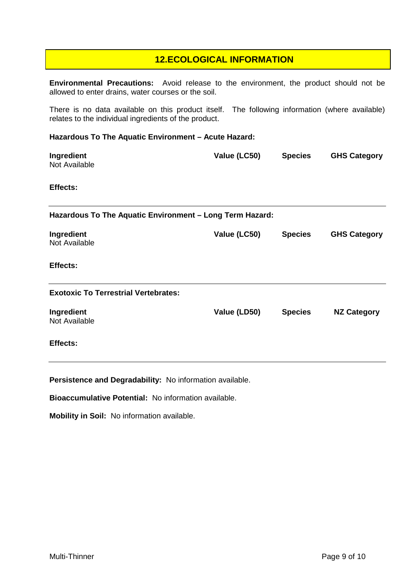#### **12.ECOLOGICAL INFORMATION**

**Environmental Precautions:** Avoid release to the environment, the product should not be allowed to enter drains, water courses or the soil.

There is no data available on this product itself. The following information (where available) relates to the individual ingredients of the product.

#### **Hazardous To The Aquatic Environment – Acute Hazard:**

| Ingredient<br>Not Available                              | Value (LC50) | <b>Species</b> | <b>GHS Category</b> |  |
|----------------------------------------------------------|--------------|----------------|---------------------|--|
| Effects:                                                 |              |                |                     |  |
| Hazardous To The Aquatic Environment - Long Term Hazard: |              |                |                     |  |
| Ingredient<br>Not Available                              | Value (LC50) | <b>Species</b> | <b>GHS Category</b> |  |
| Effects:                                                 |              |                |                     |  |
| <b>Exotoxic To Terrestrial Vertebrates:</b>              |              |                |                     |  |
| Ingredient<br>Not Available                              | Value (LD50) | <b>Species</b> | <b>NZ Category</b>  |  |
| Effects:                                                 |              |                |                     |  |

**Persistence and Degradability:** No information available.

**Bioaccumulative Potential:** No information available.

**Mobility in Soil:** No information available.